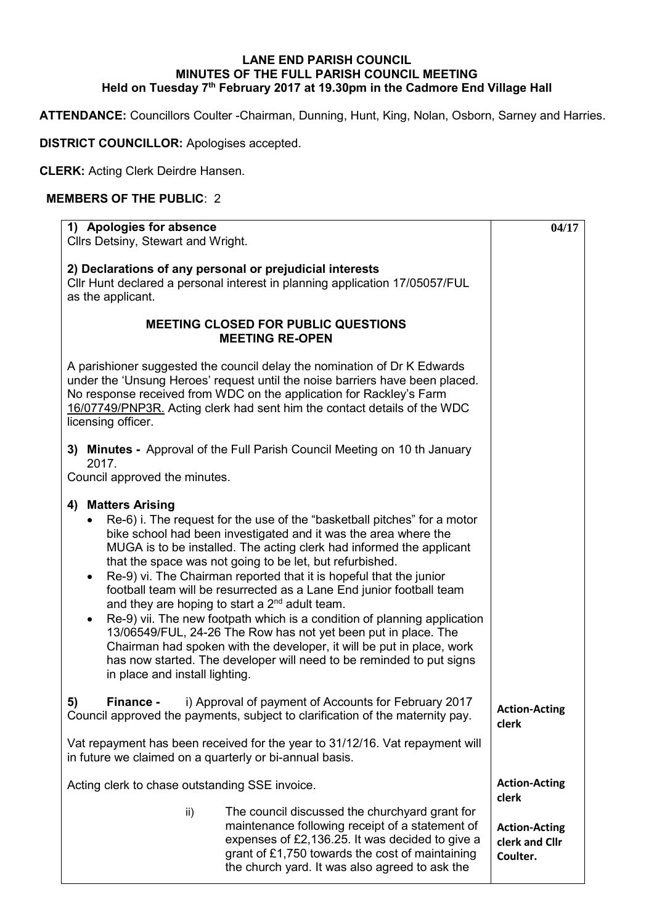## **LANE END PARISH COUNCIL MINUTES OF THE FULL PARISH COUNCIL MEETING Held on Tuesday 7 th February 2017 at 19.30pm in the Cadmore End Village Hall**

**ATTENDANCE:** Councillors Coulter -Chairman, Dunning, Hunt, King, Nolan, Osborn, Sarney and Harries.

**DISTRICT COUNCILLOR:** Apologises accepted.

**CLERK:** Acting Clerk Deirdre Hansen.

## **MEMBERS OF THE PUBLIC**: 2

| 1) Apologies for absence<br>Cllrs Detsiny, Stewart and Wright.                                                                                                                                                                                                                                                                                                                                                                                                                                                                                                                                                                                                                                                                                                                                                                                                            |                                                                                                                                                                                                                                                           | 04/17                                              |
|---------------------------------------------------------------------------------------------------------------------------------------------------------------------------------------------------------------------------------------------------------------------------------------------------------------------------------------------------------------------------------------------------------------------------------------------------------------------------------------------------------------------------------------------------------------------------------------------------------------------------------------------------------------------------------------------------------------------------------------------------------------------------------------------------------------------------------------------------------------------------|-----------------------------------------------------------------------------------------------------------------------------------------------------------------------------------------------------------------------------------------------------------|----------------------------------------------------|
|                                                                                                                                                                                                                                                                                                                                                                                                                                                                                                                                                                                                                                                                                                                                                                                                                                                                           |                                                                                                                                                                                                                                                           |                                                    |
| 2) Declarations of any personal or prejudicial interests<br>Cllr Hunt declared a personal interest in planning application 17/05057/FUL<br>as the applicant.                                                                                                                                                                                                                                                                                                                                                                                                                                                                                                                                                                                                                                                                                                              |                                                                                                                                                                                                                                                           |                                                    |
|                                                                                                                                                                                                                                                                                                                                                                                                                                                                                                                                                                                                                                                                                                                                                                                                                                                                           | <b>MEETING CLOSED FOR PUBLIC QUESTIONS</b><br><b>MEETING RE-OPEN</b>                                                                                                                                                                                      |                                                    |
| A parishioner suggested the council delay the nomination of Dr K Edwards<br>under the 'Unsung Heroes' request until the noise barriers have been placed.<br>No response received from WDC on the application for Rackley's Farm<br>16/07749/PNP3R. Acting clerk had sent him the contact details of the WDC<br>licensing officer.                                                                                                                                                                                                                                                                                                                                                                                                                                                                                                                                         |                                                                                                                                                                                                                                                           |                                                    |
| 2017.                                                                                                                                                                                                                                                                                                                                                                                                                                                                                                                                                                                                                                                                                                                                                                                                                                                                     | 3) Minutes - Approval of the Full Parish Council Meeting on 10 th January                                                                                                                                                                                 |                                                    |
| Council approved the minutes.                                                                                                                                                                                                                                                                                                                                                                                                                                                                                                                                                                                                                                                                                                                                                                                                                                             |                                                                                                                                                                                                                                                           |                                                    |
| <b>Matters Arising</b><br>4)<br>Re-6) i. The request for the use of the "basketball pitches" for a motor<br>bike school had been investigated and it was the area where the<br>MUGA is to be installed. The acting clerk had informed the applicant<br>that the space was not going to be let, but refurbished.<br>Re-9) vi. The Chairman reported that it is hopeful that the junior<br>football team will be resurrected as a Lane End junior football team<br>and they are hoping to start a 2 <sup>nd</sup> adult team.<br>Re-9) vii. The new footpath which is a condition of planning application<br>$\bullet$<br>13/06549/FUL, 24-26 The Row has not yet been put in place. The<br>Chairman had spoken with the developer, it will be put in place, work<br>has now started. The developer will need to be reminded to put signs<br>in place and install lighting. |                                                                                                                                                                                                                                                           |                                                    |
| 5)<br><b>Finance -</b>                                                                                                                                                                                                                                                                                                                                                                                                                                                                                                                                                                                                                                                                                                                                                                                                                                                    | i) Approval of payment of Accounts for February 2017<br>Council approved the payments, subject to clarification of the maternity pay.                                                                                                                     | <b>Action-Acting</b><br>clerk                      |
| in future we claimed on a quarterly or bi-annual basis.                                                                                                                                                                                                                                                                                                                                                                                                                                                                                                                                                                                                                                                                                                                                                                                                                   | Vat repayment has been received for the year to 31/12/16. Vat repayment will                                                                                                                                                                              |                                                    |
| Acting clerk to chase outstanding SSE invoice.                                                                                                                                                                                                                                                                                                                                                                                                                                                                                                                                                                                                                                                                                                                                                                                                                            |                                                                                                                                                                                                                                                           | <b>Action-Acting</b><br>clerk                      |
| ii)                                                                                                                                                                                                                                                                                                                                                                                                                                                                                                                                                                                                                                                                                                                                                                                                                                                                       | The council discussed the churchyard grant for<br>maintenance following receipt of a statement of<br>expenses of £2,136.25. It was decided to give a<br>grant of £1,750 towards the cost of maintaining<br>the church yard. It was also agreed to ask the | <b>Action-Acting</b><br>clerk and Cllr<br>Coulter. |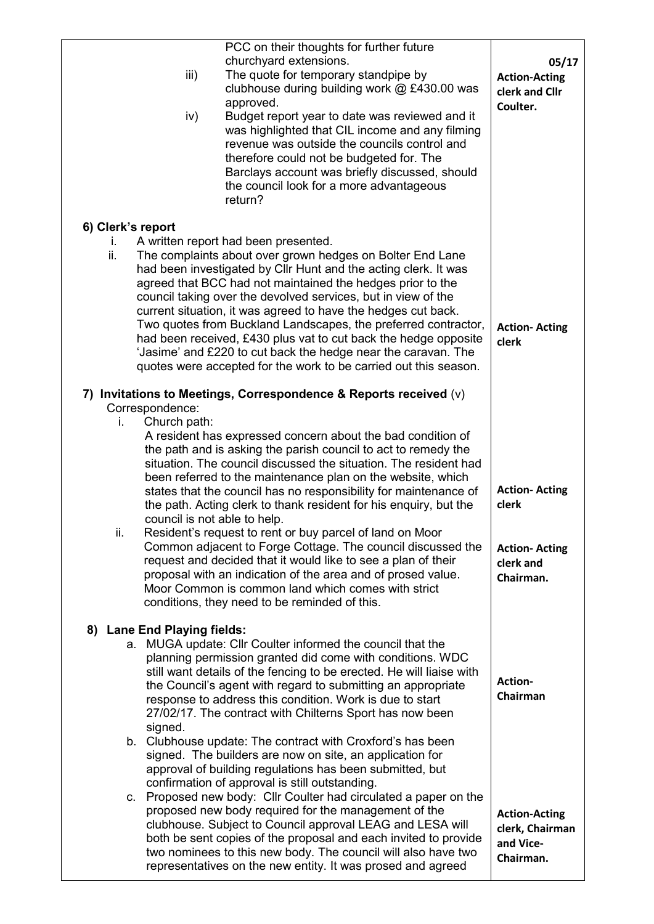| iii)<br>iv)                                        | PCC on their thoughts for further future<br>churchyard extensions.<br>The quote for temporary standpipe by<br>clubhouse during building work @ £430.00 was<br>approved.<br>Budget report year to date was reviewed and it<br>was highlighted that CIL income and any filming<br>revenue was outside the councils control and<br>therefore could not be budgeted for. The<br>Barclays account was briefly discussed, should<br>the council look for a more advantageous<br>return?                                                                                                                                                              | 05/17<br><b>Action-Acting</b><br>clerk and Cllr<br>Coulter.       |
|----------------------------------------------------|------------------------------------------------------------------------------------------------------------------------------------------------------------------------------------------------------------------------------------------------------------------------------------------------------------------------------------------------------------------------------------------------------------------------------------------------------------------------------------------------------------------------------------------------------------------------------------------------------------------------------------------------|-------------------------------------------------------------------|
| 6) Clerk's report                                  |                                                                                                                                                                                                                                                                                                                                                                                                                                                                                                                                                                                                                                                |                                                                   |
| ı.<br>ii.                                          | A written report had been presented.<br>The complaints about over grown hedges on Bolter End Lane<br>had been investigated by Cllr Hunt and the acting clerk. It was<br>agreed that BCC had not maintained the hedges prior to the<br>council taking over the devolved services, but in view of the<br>current situation, it was agreed to have the hedges cut back.<br>Two quotes from Buckland Landscapes, the preferred contractor,<br>had been received, £430 plus vat to cut back the hedge opposite<br>'Jasime' and £220 to cut back the hedge near the caravan. The<br>quotes were accepted for the work to be carried out this season. | <b>Action-Acting</b><br>clerk                                     |
|                                                    | 7) Invitations to Meetings, Correspondence & Reports received (v)                                                                                                                                                                                                                                                                                                                                                                                                                                                                                                                                                                              |                                                                   |
| Correspondence:                                    |                                                                                                                                                                                                                                                                                                                                                                                                                                                                                                                                                                                                                                                |                                                                   |
| Church path:<br>İ.<br>council is not able to help. | A resident has expressed concern about the bad condition of<br>the path and is asking the parish council to act to remedy the<br>situation. The council discussed the situation. The resident had<br>been referred to the maintenance plan on the website, which<br>states that the council has no responsibility for maintenance of<br>the path. Acting clerk to thank resident for his enquiry, but the                                                                                                                                                                                                                                      | <b>Action-Acting</b><br>clerk                                     |
| ii.                                                | Resident's request to rent or buy parcel of land on Moor<br>Common adjacent to Forge Cottage. The council discussed the<br>request and decided that it would like to see a plan of their<br>proposal with an indication of the area and of prosed value.<br>Moor Common is common land which comes with strict<br>conditions, they need to be reminded of this.                                                                                                                                                                                                                                                                                | <b>Action-Acting</b><br>clerk and<br>Chairman.                    |
| 8) Lane End Playing fields:                        |                                                                                                                                                                                                                                                                                                                                                                                                                                                                                                                                                                                                                                                |                                                                   |
| signed.                                            | a. MUGA update: Cllr Coulter informed the council that the<br>planning permission granted did come with conditions. WDC<br>still want details of the fencing to be erected. He will liaise with<br>the Council's agent with regard to submitting an appropriate<br>response to address this condition. Work is due to start<br>27/02/17. The contract with Chilterns Sport has now been                                                                                                                                                                                                                                                        | Action-<br>Chairman                                               |
|                                                    | b. Clubhouse update: The contract with Croxford's has been<br>signed. The builders are now on site, an application for<br>approval of building regulations has been submitted, but<br>confirmation of approval is still outstanding.                                                                                                                                                                                                                                                                                                                                                                                                           |                                                                   |
|                                                    | c. Proposed new body: Cllr Coulter had circulated a paper on the<br>proposed new body required for the management of the<br>clubhouse. Subject to Council approval LEAG and LESA will<br>both be sent copies of the proposal and each invited to provide<br>two nominees to this new body. The council will also have two<br>representatives on the new entity. It was prosed and agreed                                                                                                                                                                                                                                                       | <b>Action-Acting</b><br>clerk, Chairman<br>and Vice-<br>Chairman. |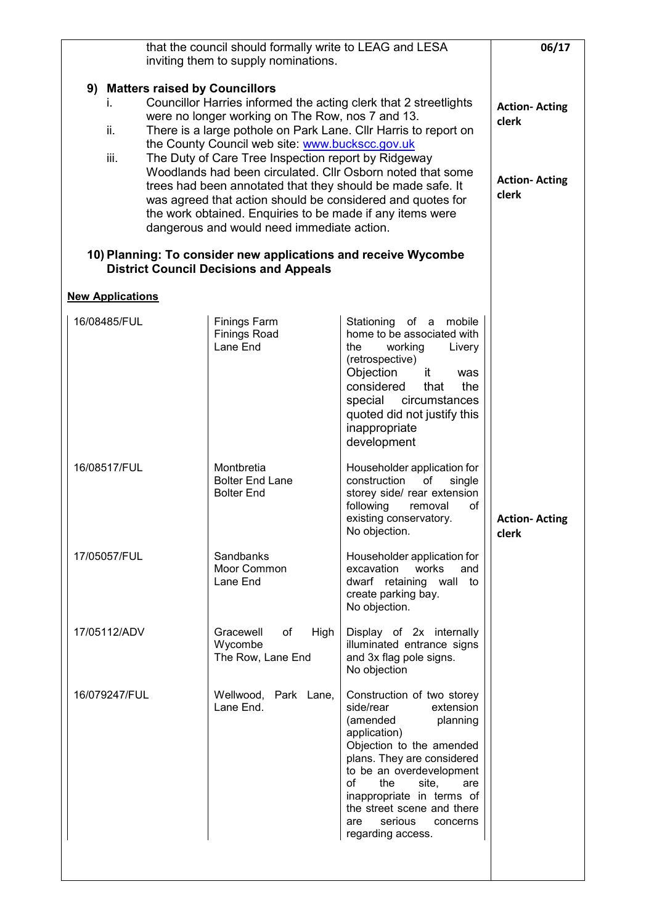| that the council should formally write to LEAG and LESA<br>inviting them to supply nominations.                                                                                                                                                                                                                                                                                                                                                                                                                                                                                                                                                           |                                                           |                                                                                                                                                                                                                                                                                                                               | 06/17                                                          |
|-----------------------------------------------------------------------------------------------------------------------------------------------------------------------------------------------------------------------------------------------------------------------------------------------------------------------------------------------------------------------------------------------------------------------------------------------------------------------------------------------------------------------------------------------------------------------------------------------------------------------------------------------------------|-----------------------------------------------------------|-------------------------------------------------------------------------------------------------------------------------------------------------------------------------------------------------------------------------------------------------------------------------------------------------------------------------------|----------------------------------------------------------------|
| 9) Matters raised by Councillors<br>Councillor Harries informed the acting clerk that 2 streetlights<br>were no longer working on The Row, nos 7 and 13.<br>There is a large pothole on Park Lane. Cllr Harris to report on<br>ii.<br>the County Council web site: www.buckscc.gov.uk<br>The Duty of Care Tree Inspection report by Ridgeway<br>iii.<br>Woodlands had been circulated. Cllr Osborn noted that some<br>trees had been annotated that they should be made safe. It<br>was agreed that action should be considered and quotes for<br>the work obtained. Enquiries to be made if any items were<br>dangerous and would need immediate action. |                                                           |                                                                                                                                                                                                                                                                                                                               | <b>Action-Acting</b><br>clerk<br><b>Action-Acting</b><br>clerk |
| 10) Planning: To consider new applications and receive Wycombe<br><b>District Council Decisions and Appeals</b>                                                                                                                                                                                                                                                                                                                                                                                                                                                                                                                                           |                                                           |                                                                                                                                                                                                                                                                                                                               |                                                                |
| <b>New Applications</b>                                                                                                                                                                                                                                                                                                                                                                                                                                                                                                                                                                                                                                   |                                                           |                                                                                                                                                                                                                                                                                                                               |                                                                |
| 16/08485/FUL                                                                                                                                                                                                                                                                                                                                                                                                                                                                                                                                                                                                                                              | Finings Farm<br><b>Finings Road</b><br>Lane End           | Stationing of a<br>mobile<br>home to be associated with<br>working<br>Livery<br>the<br>(retrospective)<br>Objection<br>it<br>was<br>considered<br>that<br>the<br>special circumstances<br>quoted did not justify this<br>inappropriate<br>development                                                                         |                                                                |
| 16/08517/FUL                                                                                                                                                                                                                                                                                                                                                                                                                                                                                                                                                                                                                                              | Montbretia<br><b>Bolter End Lane</b><br><b>Bolter End</b> | Householder application for<br>construction<br>οf<br>single<br>storey side/ rear extension<br>following<br>οf<br>removal<br>existing conservatory.<br>No objection.                                                                                                                                                           | <b>Action-Acting</b><br>clerk                                  |
| 17/05057/FUL                                                                                                                                                                                                                                                                                                                                                                                                                                                                                                                                                                                                                                              | Sandbanks<br>Moor Common<br>Lane End                      | Householder application for<br>excavation<br>works<br>and<br>dwarf retaining wall<br>to<br>create parking bay.<br>No objection.                                                                                                                                                                                               |                                                                |
| 17/05112/ADV                                                                                                                                                                                                                                                                                                                                                                                                                                                                                                                                                                                                                                              | of<br>High<br>Gracewell<br>Wycombe<br>The Row, Lane End   | Display of 2x internally<br>illuminated entrance signs<br>and 3x flag pole signs.<br>No objection                                                                                                                                                                                                                             |                                                                |
| 16/079247/FUL                                                                                                                                                                                                                                                                                                                                                                                                                                                                                                                                                                                                                                             | Wellwood, Park Lane,<br>Lane End.                         | Construction of two storey<br>side/rear<br>extension<br>(amended<br>planning<br>application)<br>Objection to the amended<br>plans. They are considered<br>to be an overdevelopment<br>of<br>the<br>site,<br>are<br>inappropriate in terms of<br>the street scene and there<br>serious<br>are<br>concerns<br>regarding access. |                                                                |
|                                                                                                                                                                                                                                                                                                                                                                                                                                                                                                                                                                                                                                                           |                                                           |                                                                                                                                                                                                                                                                                                                               |                                                                |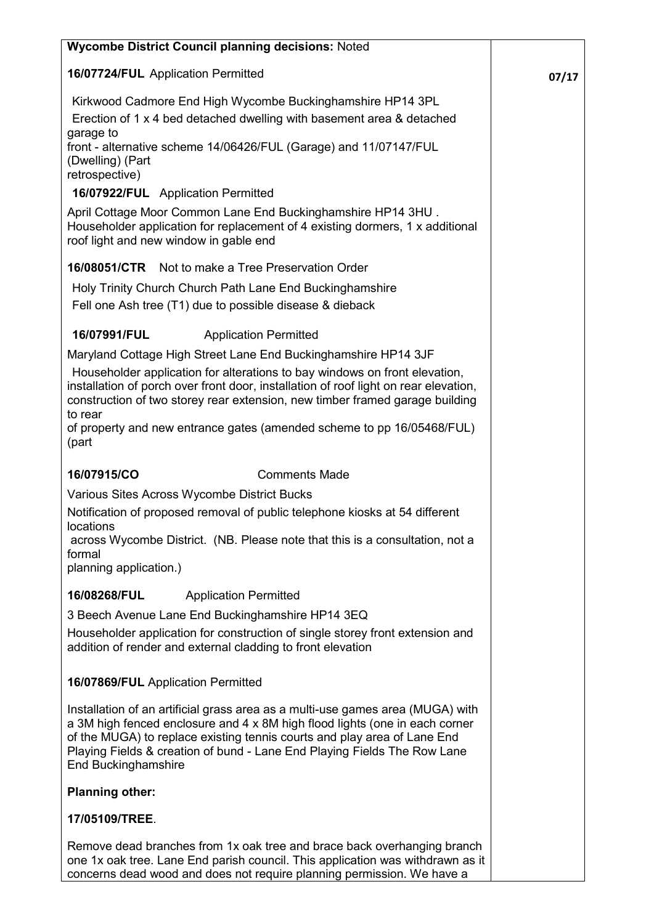| <b>Wycombe District Council planning decisions: Noted</b>                                                                                                                                                                                                                                                                                    |       |
|----------------------------------------------------------------------------------------------------------------------------------------------------------------------------------------------------------------------------------------------------------------------------------------------------------------------------------------------|-------|
| 16/07724/FUL Application Permitted                                                                                                                                                                                                                                                                                                           | 07/17 |
| Kirkwood Cadmore End High Wycombe Buckinghamshire HP14 3PL                                                                                                                                                                                                                                                                                   |       |
| Erection of 1 x 4 bed detached dwelling with basement area & detached                                                                                                                                                                                                                                                                        |       |
| garage to                                                                                                                                                                                                                                                                                                                                    |       |
| front - alternative scheme 14/06426/FUL (Garage) and 11/07147/FUL<br>(Dwelling) (Part                                                                                                                                                                                                                                                        |       |
| retrospective)                                                                                                                                                                                                                                                                                                                               |       |
| 16/07922/FUL Application Permitted                                                                                                                                                                                                                                                                                                           |       |
| April Cottage Moor Common Lane End Buckinghamshire HP14 3HU.<br>Householder application for replacement of 4 existing dormers, 1 x additional<br>roof light and new window in gable end                                                                                                                                                      |       |
| 16/08051/CTR<br>Not to make a Tree Preservation Order                                                                                                                                                                                                                                                                                        |       |
| Holy Trinity Church Church Path Lane End Buckinghamshire                                                                                                                                                                                                                                                                                     |       |
| Fell one Ash tree (T1) due to possible disease & dieback                                                                                                                                                                                                                                                                                     |       |
| 16/07991/FUL<br><b>Application Permitted</b>                                                                                                                                                                                                                                                                                                 |       |
| Maryland Cottage High Street Lane End Buckinghamshire HP14 3JF                                                                                                                                                                                                                                                                               |       |
| Householder application for alterations to bay windows on front elevation,                                                                                                                                                                                                                                                                   |       |
| installation of porch over front door, installation of roof light on rear elevation,<br>construction of two storey rear extension, new timber framed garage building                                                                                                                                                                         |       |
| to rear<br>of property and new entrance gates (amended scheme to pp 16/05468/FUL)<br>(part                                                                                                                                                                                                                                                   |       |
| 16/07915/CO<br><b>Comments Made</b>                                                                                                                                                                                                                                                                                                          |       |
| Various Sites Across Wycombe District Bucks                                                                                                                                                                                                                                                                                                  |       |
| Notification of proposed removal of public telephone kiosks at 54 different                                                                                                                                                                                                                                                                  |       |
| locations<br>across Wycombe District. (NB. Please note that this is a consultation, not a<br>formal                                                                                                                                                                                                                                          |       |
| planning application.)                                                                                                                                                                                                                                                                                                                       |       |
| 16/08268/FUL<br><b>Application Permitted</b>                                                                                                                                                                                                                                                                                                 |       |
| 3 Beech Avenue Lane End Buckinghamshire HP14 3EQ                                                                                                                                                                                                                                                                                             |       |
| Householder application for construction of single storey front extension and<br>addition of render and external cladding to front elevation                                                                                                                                                                                                 |       |
| 16/07869/FUL Application Permitted                                                                                                                                                                                                                                                                                                           |       |
| Installation of an artificial grass area as a multi-use games area (MUGA) with<br>a 3M high fenced enclosure and 4 x 8M high flood lights (one in each corner<br>of the MUGA) to replace existing tennis courts and play area of Lane End<br>Playing Fields & creation of bund - Lane End Playing Fields The Row Lane<br>End Buckinghamshire |       |
| <b>Planning other:</b>                                                                                                                                                                                                                                                                                                                       |       |
| 17/05109/TREE.                                                                                                                                                                                                                                                                                                                               |       |
|                                                                                                                                                                                                                                                                                                                                              |       |
| Remove dead branches from 1x oak tree and brace back overhanging branch<br>one 1x oak tree. Lane End parish council. This application was withdrawn as it<br>concerns dead wood and does not require planning permission. We have a                                                                                                          |       |